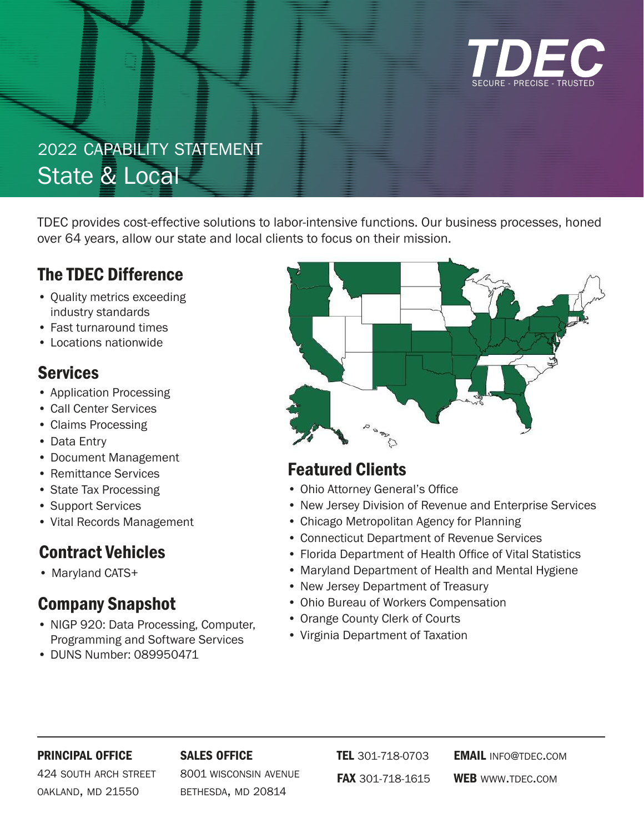

# 2022 capability statement State & Local

TDEC provides cost-effective solutions to labor-intensive functions. Our business processes, honed over 64 years, allow our state and local clients to focus on their mission.

# The TDEC Difference

- Quality metrics exceeding industry standards
- Fast turnaround times
- Locations nationwide

## **Services**

- Application Processing
- Call Center Services
- Claims Processing
- Data Entry
- Document Management
- Remittance Services
- State Tax Processing
- Support Services
- Vital Records Management

# Contract Vehicles

• Maryland CATS+

# Company Snapshot

- NIGP 920: Data Processing, Computer, Programming and Software Services
- DUNS Number: 089950471



# Featured Clients

- Ohio Attorney General's Office
- New Jersey Division of Revenue and Enterprise Services
- Chicago Metropolitan Agency for Planning
- Connecticut Department of Revenue Services
- Florida Department of Health Office of Vital Statistics
- Maryland Department of Health and Mental Hygiene
- New Jersey Department of Treasury
- Ohio Bureau of Workers Compensation
- Orange County Clerk of Courts
- Virginia Department of Taxation

#### principal office

#### sales office

424 south arch street oakland, md 21550

8001 wisconsin avenue bethesda, md 20814

TEL 301-718-0703 fax 301-718-1615

**EMAIL INFO@TDEC.COM** WEB www.TDEC.COM